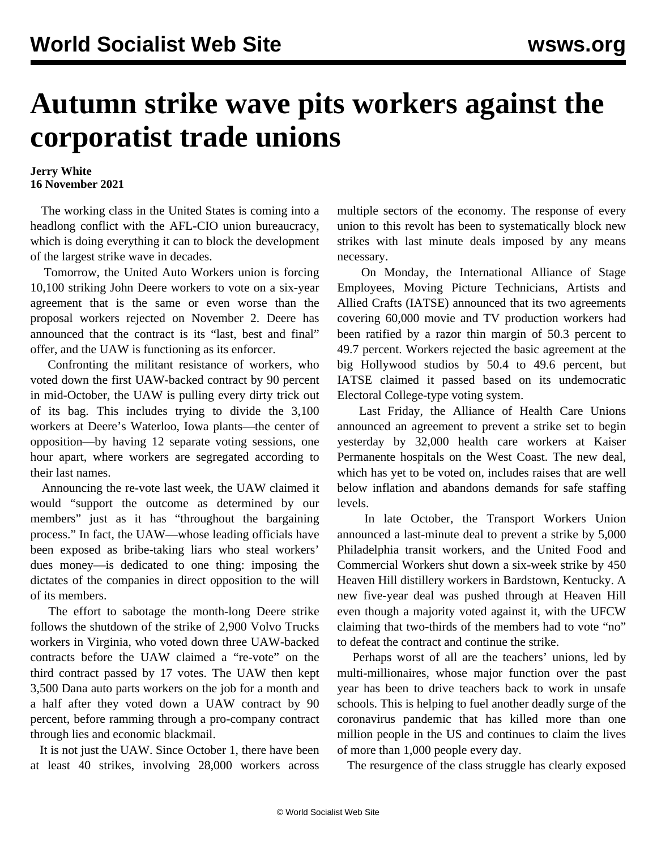## **Autumn strike wave pits workers against the corporatist trade unions**

## **Jerry White 16 November 2021**

 The working class in the United States is coming into a headlong conflict with the AFL-CIO union bureaucracy, which is doing everything it can to block the development of the largest strike wave in decades.

 Tomorrow, the United Auto Workers union is forcing 10,100 striking John Deere workers to vote on a six-year agreement that is the same or even worse than the proposal workers rejected on November 2. Deere has announced that the contract is its "last, best and final" offer, and the UAW is functioning as its enforcer.

 Confronting the militant resistance of workers, who voted down the first UAW-backed contract by 90 percent in mid-October, the UAW is pulling every dirty trick out of its bag. This includes trying to divide the 3,100 workers at Deere's Waterloo, Iowa plants—the center of opposition—by having 12 separate voting sessions, one hour apart, where workers are segregated according to their last names.

 Announcing the re-vote last week, the UAW claimed it would "support the outcome as determined by our members" just as it has "throughout the bargaining process." In fact, the UAW—whose leading officials [have](/en/articles/2021/11/13/pers-n13.html) [been exposed](/en/articles/2021/11/13/pers-n13.html) as bribe-taking liars who steal workers' dues money—is dedicated to one thing: imposing the dictates of the companies in direct opposition to the will of its members.

 The effort to sabotage the month-long Deere strike follows the shutdown of the strike of 2,900 Volvo Trucks workers in Virginia, who voted down three UAW-backed contracts before the UAW claimed a "re-vote" on the third contract passed by 17 votes. The UAW then kept 3,500 Dana auto parts workers on the job for a month and a half after they voted down a UAW contract by 90 percent, before ramming through a pro-company contract through lies and economic blackmail.

 It is not just the UAW. Since October 1, there have been at least 40 strikes, involving 28,000 workers across multiple sectors of the economy. The response of every union to this revolt has been to systematically block new strikes with last minute deals imposed by any means necessary.

 On Monday, the International Alliance of Stage Employees, Moving Picture Technicians, Artists and Allied Crafts (IATSE) announced that its two agreements covering 60,000 movie and TV production workers had been ratified by a razor thin margin of 50.3 percent to 49.7 percent. Workers rejected the basic agreement at the big Hollywood studios by 50.4 to 49.6 percent, but IATSE claimed it passed based on its undemocratic Electoral College-type voting system.

 Last Friday, the Alliance of Health Care Unions announced an agreement to prevent a strike set to begin yesterday by 32,000 health care workers at Kaiser Permanente hospitals on the West Coast. The new deal, which has yet to be voted on, includes raises that are well below inflation and abandons demands for safe staffing levels.

 In late October, the Transport Workers Union announced a last-minute deal to prevent a strike by 5,000 Philadelphia transit workers, and the United Food and Commercial Workers shut down a six-week strike by 450 Heaven Hill distillery workers in Bardstown, Kentucky. A new five-year deal was pushed through at Heaven Hill even though a majority voted against it, with the UFCW claiming that two-thirds of the members had to vote "no" to defeat the contract and continue the strike.

 Perhaps worst of all are the teachers' unions, led by multi-millionaires, whose major function over the past year has been to drive teachers back to work in unsafe schools. This is helping to fuel another deadly surge of the coronavirus pandemic that has killed more than one million people in the US and continues to claim the lives of more than 1,000 people every day.

The resurgence of the class struggle has clearly exposed